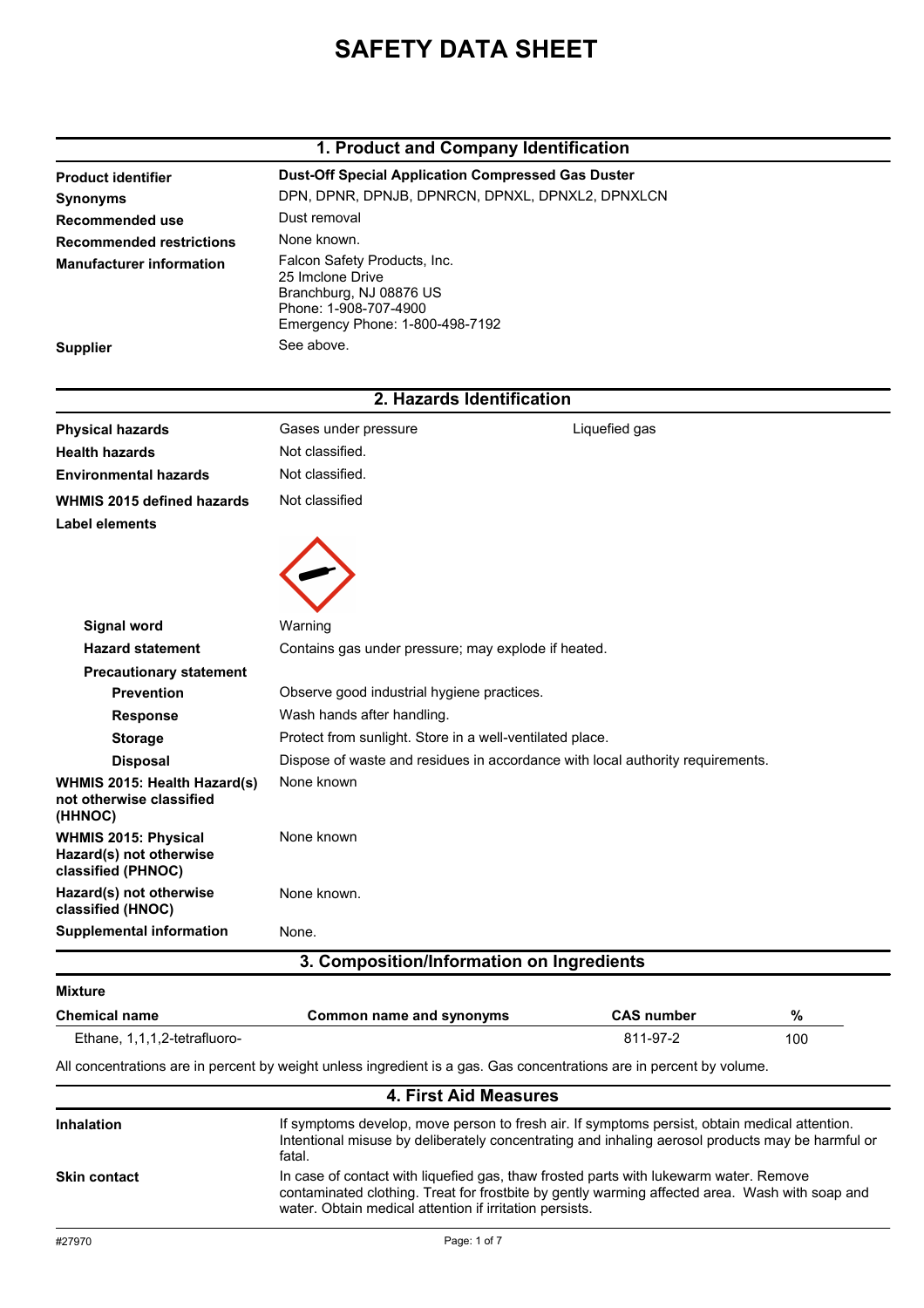# **SAFETY DATA SHEET**

#### **1. Product and Company Identification**

|                                                                       | 1. Product and Company Identification                                                                                                   |                   |      |  |
|-----------------------------------------------------------------------|-----------------------------------------------------------------------------------------------------------------------------------------|-------------------|------|--|
| <b>Product identifier</b>                                             | <b>Dust-Off Special Application Compressed Gas Duster</b>                                                                               |                   |      |  |
| <b>Synonyms</b>                                                       | DPN, DPNR, DPNJB, DPNRCN, DPNXL, DPNXL2, DPNXLCN                                                                                        |                   |      |  |
| Recommended use                                                       | Dust removal                                                                                                                            |                   |      |  |
| <b>Recommended restrictions</b>                                       | None known.                                                                                                                             |                   |      |  |
| <b>Manufacturer information</b>                                       | Falcon Safety Products, Inc.<br>25 Imclone Drive<br>Branchburg, NJ 08876 US<br>Phone: 1-908-707-4900<br>Emergency Phone: 1-800-498-7192 |                   |      |  |
| <b>Supplier</b>                                                       | See above.                                                                                                                              |                   |      |  |
|                                                                       | 2. Hazards Identification                                                                                                               |                   |      |  |
| <b>Physical hazards</b>                                               | Gases under pressure                                                                                                                    | Liquefied gas     |      |  |
| <b>Health hazards</b>                                                 | Not classified.                                                                                                                         |                   |      |  |
| <b>Environmental hazards</b>                                          | Not classified.                                                                                                                         |                   |      |  |
| <b>WHMIS 2015 defined hazards</b>                                     | Not classified                                                                                                                          |                   |      |  |
| Label elements                                                        |                                                                                                                                         |                   |      |  |
|                                                                       |                                                                                                                                         |                   |      |  |
| <b>Signal word</b>                                                    | Warning                                                                                                                                 |                   |      |  |
| <b>Hazard statement</b>                                               | Contains gas under pressure; may explode if heated.                                                                                     |                   |      |  |
| <b>Precautionary statement</b><br><b>Prevention</b>                   | Observe good industrial hygiene practices.                                                                                              |                   |      |  |
| <b>Response</b>                                                       | Wash hands after handling.                                                                                                              |                   |      |  |
| <b>Storage</b>                                                        | Protect from sunlight. Store in a well-ventilated place.                                                                                |                   |      |  |
| <b>Disposal</b>                                                       | Dispose of waste and residues in accordance with local authority requirements.                                                          |                   |      |  |
| WHMIS 2015: Health Hazard(s)<br>not otherwise classified<br>(HHNOC)   | None known                                                                                                                              |                   |      |  |
| WHMIS 2015: Physical<br>Hazard(s) not otherwise<br>classified (PHNOC) | None known                                                                                                                              |                   |      |  |
| Hazard(s) not otherwise<br>classified (HNOC)                          | None known.                                                                                                                             |                   |      |  |
| <b>Supplemental information</b>                                       | None.                                                                                                                                   |                   |      |  |
|                                                                       | 3. Composition/Information on Ingredients                                                                                               |                   |      |  |
| <b>Mixture</b>                                                        |                                                                                                                                         |                   |      |  |
| <b>Chemical name</b>                                                  | <b>Common name and synonyms</b>                                                                                                         | <b>CAS number</b> | $\%$ |  |
| Ethane, 1,1,1,2-tetrafluoro-                                          |                                                                                                                                         | 811-97-2          | 100  |  |

All concentrations are in percent by weight unless ingredient is a gas. Gas concentrations are in percent by volume.

| 4. First Aid Measures |                                                                                                                                                                                                                                                    |  |
|-----------------------|----------------------------------------------------------------------------------------------------------------------------------------------------------------------------------------------------------------------------------------------------|--|
| <b>Inhalation</b>     | If symptoms develop, move person to fresh air. If symptoms persist, obtain medical attention.<br>Intentional misuse by deliberately concentrating and inhaling aerosol products may be harmful or<br>fatal.                                        |  |
| <b>Skin contact</b>   | In case of contact with liquefied gas, thaw frosted parts with lukewarm water. Remove<br>contaminated clothing. Treat for frostbite by gently warming affected area. Wash with soap and<br>water. Obtain medical attention if irritation persists. |  |
| #27970                | Page: 1 of 7                                                                                                                                                                                                                                       |  |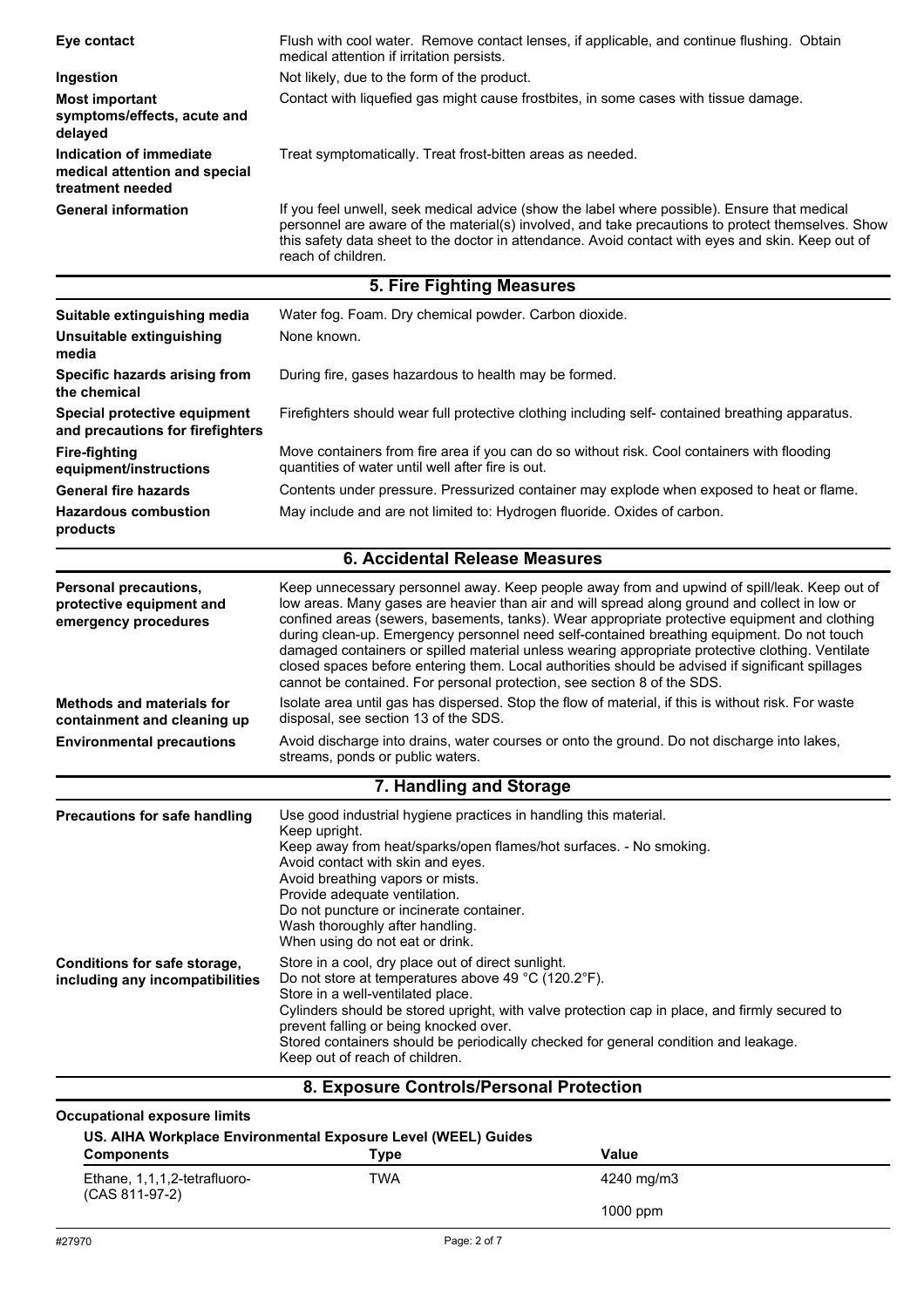| Eye contact                                                                  | Flush with cool water. Remove contact lenses, if applicable, and continue flushing. Obtain<br>medical attention if irritation persists.                                                                                                                                                                                                                                                                                                                                                                                                                                                                                                                                         |  |
|------------------------------------------------------------------------------|---------------------------------------------------------------------------------------------------------------------------------------------------------------------------------------------------------------------------------------------------------------------------------------------------------------------------------------------------------------------------------------------------------------------------------------------------------------------------------------------------------------------------------------------------------------------------------------------------------------------------------------------------------------------------------|--|
| Ingestion                                                                    | Not likely, due to the form of the product.                                                                                                                                                                                                                                                                                                                                                                                                                                                                                                                                                                                                                                     |  |
| <b>Most important</b><br>symptoms/effects, acute and<br>delayed              | Contact with liquefied gas might cause frostbites, in some cases with tissue damage.                                                                                                                                                                                                                                                                                                                                                                                                                                                                                                                                                                                            |  |
| Indication of immediate<br>medical attention and special<br>treatment needed | Treat symptomatically. Treat frost-bitten areas as needed.                                                                                                                                                                                                                                                                                                                                                                                                                                                                                                                                                                                                                      |  |
| <b>General information</b>                                                   | If you feel unwell, seek medical advice (show the label where possible). Ensure that medical<br>personnel are aware of the material(s) involved, and take precautions to protect themselves. Show<br>this safety data sheet to the doctor in attendance. Avoid contact with eyes and skin. Keep out of<br>reach of children.                                                                                                                                                                                                                                                                                                                                                    |  |
|                                                                              | 5. Fire Fighting Measures                                                                                                                                                                                                                                                                                                                                                                                                                                                                                                                                                                                                                                                       |  |
| Suitable extinguishing media                                                 | Water fog. Foam. Dry chemical powder. Carbon dioxide.                                                                                                                                                                                                                                                                                                                                                                                                                                                                                                                                                                                                                           |  |
| Unsuitable extinguishing<br>media                                            | None known.                                                                                                                                                                                                                                                                                                                                                                                                                                                                                                                                                                                                                                                                     |  |
| Specific hazards arising from<br>the chemical                                | During fire, gases hazardous to health may be formed.                                                                                                                                                                                                                                                                                                                                                                                                                                                                                                                                                                                                                           |  |
| Special protective equipment<br>and precautions for firefighters             | Firefighters should wear full protective clothing including self- contained breathing apparatus.                                                                                                                                                                                                                                                                                                                                                                                                                                                                                                                                                                                |  |
| <b>Fire-fighting</b><br>equipment/instructions                               | Move containers from fire area if you can do so without risk. Cool containers with flooding<br>quantities of water until well after fire is out.                                                                                                                                                                                                                                                                                                                                                                                                                                                                                                                                |  |
| <b>General fire hazards</b>                                                  | Contents under pressure. Pressurized container may explode when exposed to heat or flame.                                                                                                                                                                                                                                                                                                                                                                                                                                                                                                                                                                                       |  |
| <b>Hazardous combustion</b><br>products                                      | May include and are not limited to: Hydrogen fluoride. Oxides of carbon.                                                                                                                                                                                                                                                                                                                                                                                                                                                                                                                                                                                                        |  |
|                                                                              | <b>6. Accidental Release Measures</b>                                                                                                                                                                                                                                                                                                                                                                                                                                                                                                                                                                                                                                           |  |
| Personal precautions,<br>protective equipment and<br>emergency procedures    | Keep unnecessary personnel away. Keep people away from and upwind of spill/leak. Keep out of<br>low areas. Many gases are heavier than air and will spread along ground and collect in low or<br>confined areas (sewers, basements, tanks). Wear appropriate protective equipment and clothing<br>during clean-up. Emergency personnel need self-contained breathing equipment. Do not touch<br>damaged containers or spilled material unless wearing appropriate protective clothing. Ventilate<br>closed spaces before entering them. Local authorities should be advised if significant spillages<br>cannot be contained. For personal protection, see section 8 of the SDS. |  |
| <b>Methods and materials for</b><br>containment and cleaning up              | Isolate area until gas has dispersed. Stop the flow of material, if this is without risk. For waste<br>disposal, see section 13 of the SDS.                                                                                                                                                                                                                                                                                                                                                                                                                                                                                                                                     |  |
| <b>Environmental precautions</b>                                             | Avoid discharge into drains, water courses or onto the ground. Do not discharge into lakes,<br>streams, ponds or public waters.                                                                                                                                                                                                                                                                                                                                                                                                                                                                                                                                                 |  |
|                                                                              | 7. Handling and Storage                                                                                                                                                                                                                                                                                                                                                                                                                                                                                                                                                                                                                                                         |  |
| <b>Precautions for safe handling</b>                                         | Use good industrial hygiene practices in handling this material.<br>Keep upright.<br>Keep away from heat/sparks/open flames/hot surfaces. - No smoking.<br>Avoid contact with skin and eyes.<br>Avoid breathing vapors or mists.<br>Provide adequate ventilation.<br>Do not puncture or incinerate container.<br>Wash thoroughly after handling.<br>When using do not eat or drink.                                                                                                                                                                                                                                                                                             |  |
| Conditions for safe storage,<br>including any incompatibilities              | Store in a cool, dry place out of direct sunlight.<br>Do not store at temperatures above 49 °C (120.2°F).<br>Store in a well-ventilated place.<br>Cylinders should be stored upright, with valve protection cap in place, and firmly secured to<br>prevent falling or being knocked over.<br>Stored containers should be periodically checked for general condition and leakage.<br>Keep out of reach of children.<br>8. Exposure Controls/Personal Protection                                                                                                                                                                                                                  |  |
|                                                                              |                                                                                                                                                                                                                                                                                                                                                                                                                                                                                                                                                                                                                                                                                 |  |

#### **Occupational exposure limits**

#### **US. AIHA Workplace Environmental Exposure Level (WEEL) Guides**

| <b>Components</b>                              | Type         | Value      |
|------------------------------------------------|--------------|------------|
| Ethane, 1,1,1,2-tetrafluoro-<br>(CAS 811-97-2) | TWA          | 4240 mg/m3 |
|                                                |              | 1000 ppm   |
| #27970                                         | Page: 2 of 7 |            |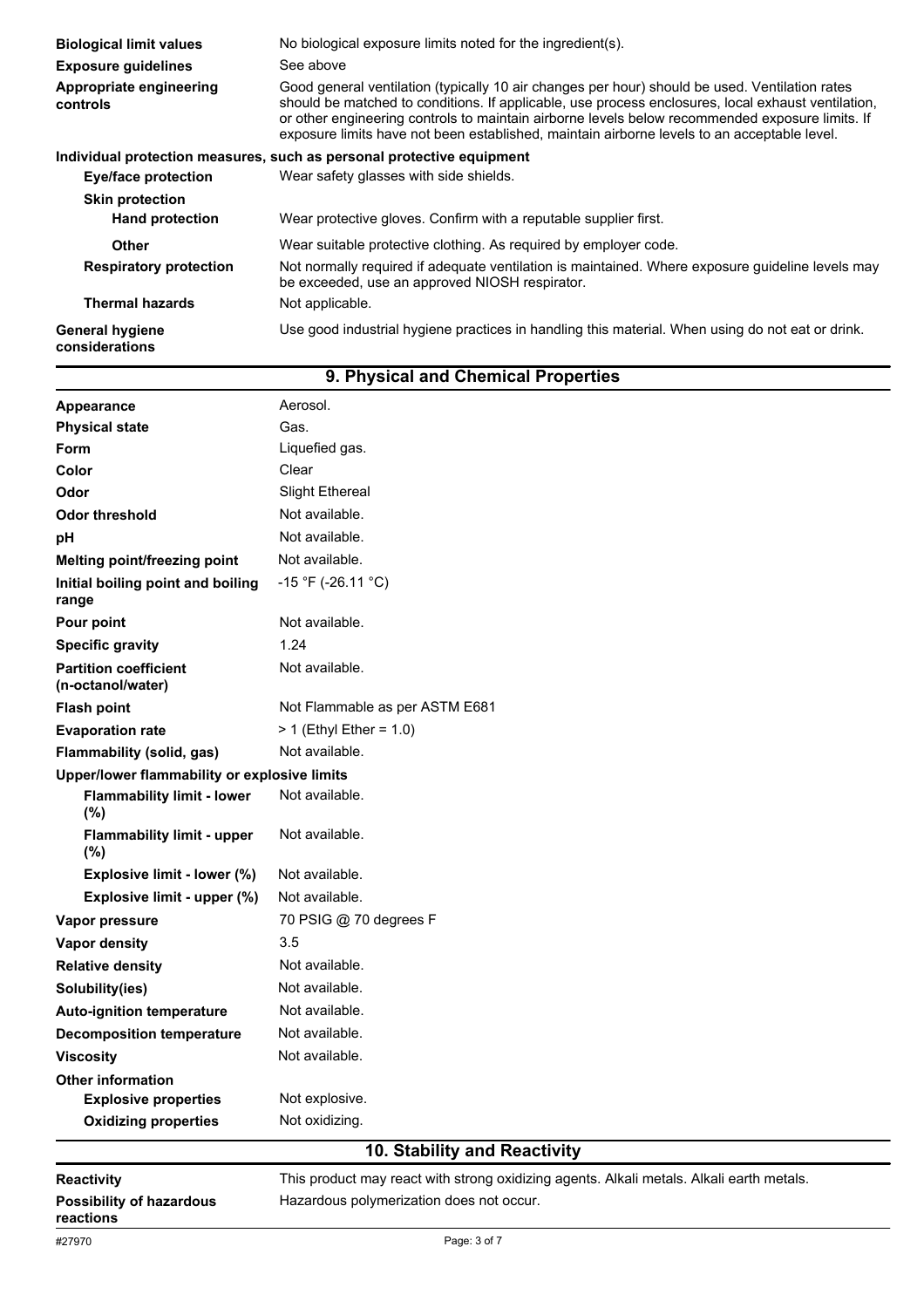| <b>Biological limit values</b>           | No biological exposure limits noted for the ingredient(s).                                                                                                                                                                                                                                                                                                                                             |  |  |
|------------------------------------------|--------------------------------------------------------------------------------------------------------------------------------------------------------------------------------------------------------------------------------------------------------------------------------------------------------------------------------------------------------------------------------------------------------|--|--|
| <b>Exposure guidelines</b>               | See above                                                                                                                                                                                                                                                                                                                                                                                              |  |  |
| Appropriate engineering<br>controls      | Good general ventilation (typically 10 air changes per hour) should be used. Ventilation rates<br>should be matched to conditions. If applicable, use process enclosures, local exhaust ventilation,<br>or other engineering controls to maintain airborne levels below recommended exposure limits. If<br>exposure limits have not been established, maintain airborne levels to an acceptable level. |  |  |
|                                          | Individual protection measures, such as personal protective equipment                                                                                                                                                                                                                                                                                                                                  |  |  |
| <b>Eye/face protection</b>               | Wear safety glasses with side shields.                                                                                                                                                                                                                                                                                                                                                                 |  |  |
| <b>Skin protection</b>                   |                                                                                                                                                                                                                                                                                                                                                                                                        |  |  |
| <b>Hand protection</b>                   | Wear protective gloves. Confirm with a reputable supplier first.                                                                                                                                                                                                                                                                                                                                       |  |  |
| <b>Other</b>                             | Wear suitable protective clothing. As required by employer code.                                                                                                                                                                                                                                                                                                                                       |  |  |
| <b>Respiratory protection</b>            | Not normally required if adequate ventilation is maintained. Where exposure guideline levels may<br>be exceeded, use an approved NIOSH respirator.                                                                                                                                                                                                                                                     |  |  |
| <b>Thermal hazards</b>                   | Not applicable.                                                                                                                                                                                                                                                                                                                                                                                        |  |  |
| <b>General hygiene</b><br>considerations | Use good industrial hygiene practices in handling this material. When using do not eat or drink.                                                                                                                                                                                                                                                                                                       |  |  |

| Appearance                                        | Aerosol.                                                                                 |
|---------------------------------------------------|------------------------------------------------------------------------------------------|
| <b>Physical state</b>                             | Gas.                                                                                     |
| <b>Form</b>                                       | Liquefied gas.                                                                           |
| Color                                             | Clear                                                                                    |
| Odor                                              | <b>Slight Ethereal</b>                                                                   |
| <b>Odor threshold</b>                             | Not available.                                                                           |
| рH                                                | Not available.                                                                           |
| <b>Melting point/freezing point</b>               | Not available.                                                                           |
| Initial boiling point and boiling<br>range        | $-15$ °F (-26.11 °C)                                                                     |
| Pour point                                        | Not available.                                                                           |
| <b>Specific gravity</b>                           | 1.24                                                                                     |
| <b>Partition coefficient</b><br>(n-octanol/water) | Not available.                                                                           |
| <b>Flash point</b>                                | Not Flammable as per ASTM E681                                                           |
| <b>Evaporation rate</b>                           | $> 1$ (Ethyl Ether = 1.0)                                                                |
| Flammability (solid, gas)                         | Not available.                                                                           |
| Upper/lower flammability or explosive limits      |                                                                                          |
| <b>Flammability limit - lower</b><br>(%)          | Not available.                                                                           |
| <b>Flammability limit - upper</b><br>(%)          | Not available.                                                                           |
| Explosive limit - lower (%)                       | Not available.                                                                           |
| Explosive limit - upper (%)                       | Not available.                                                                           |
| Vapor pressure                                    | 70 PSIG @ 70 degrees F                                                                   |
| Vapor density                                     | 3.5                                                                                      |
| <b>Relative density</b>                           | Not available.                                                                           |
| Solubility(ies)                                   | Not available.                                                                           |
| <b>Auto-ignition temperature</b>                  | Not available.                                                                           |
| <b>Decomposition temperature</b>                  | Not available.                                                                           |
| <b>Viscosity</b>                                  | Not available.                                                                           |
| <b>Other information</b>                          |                                                                                          |
| <b>Explosive properties</b>                       | Not explosive.                                                                           |
| <b>Oxidizing properties</b>                       | Not oxidizing.                                                                           |
|                                                   | 10. Stability and Reactivity                                                             |
| <b>Reactivity</b>                                 | This product may react with strong oxidizing agents. Alkali metals. Alkali earth metals. |
| <b>Possibility of hazardous</b><br>reactions      | Hazardous polymerization does not occur.                                                 |

## **9. Physical and Chemical Properties**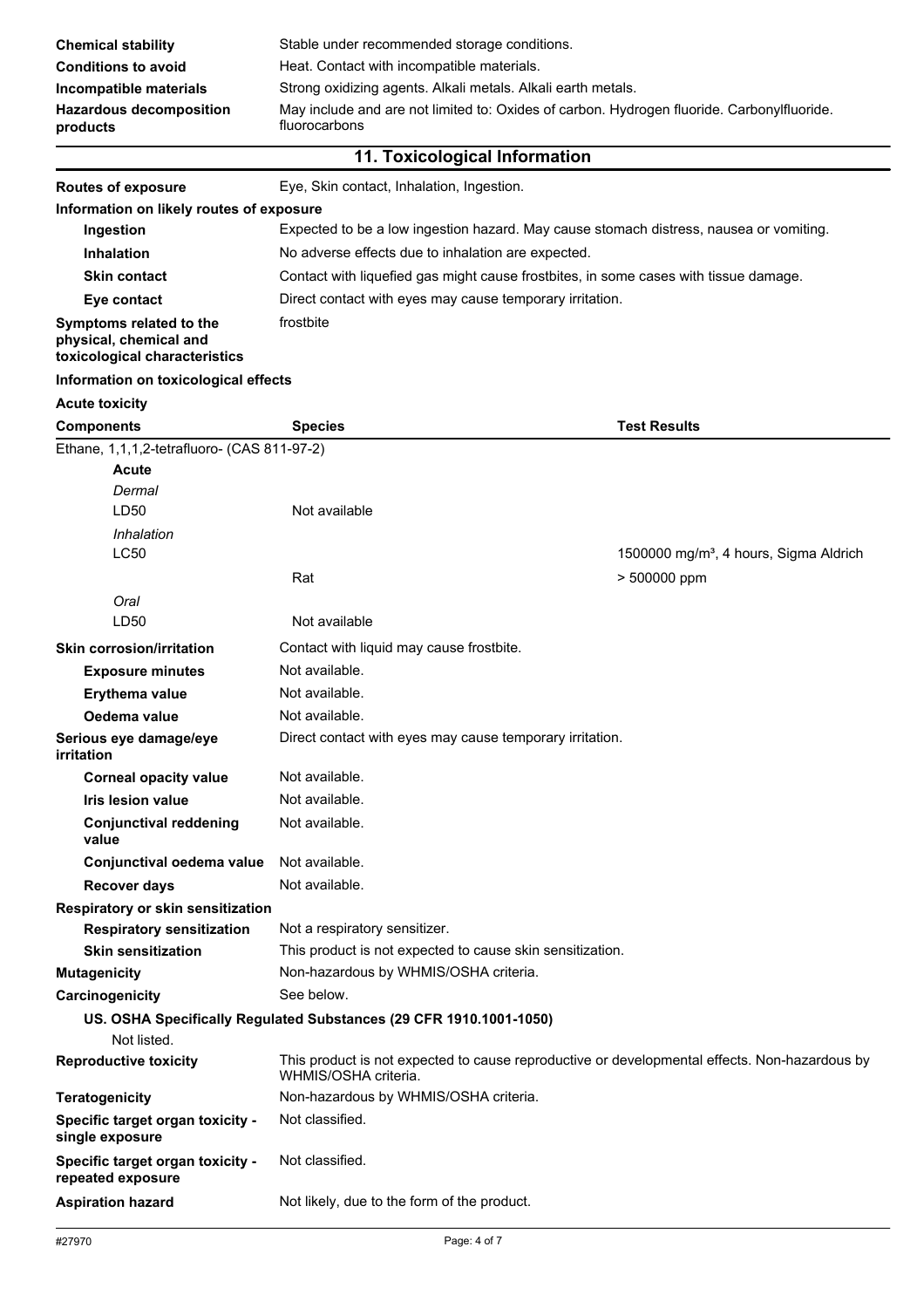| May include and are not limited to: Oxides of carbon. Hydrogen fluoride. Carbonylfluoride.<br><b>Hazardous decomposition</b><br>fluorocarbons<br>products |                                                              |  |
|-----------------------------------------------------------------------------------------------------------------------------------------------------------|--------------------------------------------------------------|--|
| Incompatible materials                                                                                                                                    | Strong oxidizing agents. Alkali metals. Alkali earth metals. |  |
| <b>Conditions to avoid</b>                                                                                                                                | Heat. Contact with incompatible materials.                   |  |
| <b>Chemical stability</b>                                                                                                                                 | Stable under recommended storage conditions.                 |  |

**Routes of exposure** Eye, Skin contact, Inhalation, Ingestion.

| Information on likely routes of exposure                                           |                                                                                        |                                                                                               |  |
|------------------------------------------------------------------------------------|----------------------------------------------------------------------------------------|-----------------------------------------------------------------------------------------------|--|
| Ingestion                                                                          | Expected to be a low ingestion hazard. May cause stomach distress, nausea or vomiting. |                                                                                               |  |
| <b>Inhalation</b>                                                                  | No adverse effects due to inhalation are expected.                                     |                                                                                               |  |
| <b>Skin contact</b>                                                                | Contact with liquefied gas might cause frostbites, in some cases with tissue damage.   |                                                                                               |  |
| Eye contact                                                                        | Direct contact with eyes may cause temporary irritation.                               |                                                                                               |  |
| Symptoms related to the<br>physical, chemical and<br>toxicological characteristics | frostbite                                                                              |                                                                                               |  |
| Information on toxicological effects                                               |                                                                                        |                                                                                               |  |
| <b>Acute toxicity</b>                                                              |                                                                                        |                                                                                               |  |
| <b>Components</b>                                                                  | <b>Species</b>                                                                         | <b>Test Results</b>                                                                           |  |
| Ethane, 1,1,1,2-tetrafluoro- (CAS 811-97-2)<br><b>Acute</b><br>Dermal<br>LD50      | Not available                                                                          |                                                                                               |  |
|                                                                                    |                                                                                        |                                                                                               |  |
| Inhalation<br><b>LC50</b>                                                          |                                                                                        | 1500000 mg/m <sup>3</sup> , 4 hours, Sigma Aldrich                                            |  |
|                                                                                    | Rat                                                                                    | > 500000 ppm                                                                                  |  |
| Oral                                                                               |                                                                                        |                                                                                               |  |
| LD50                                                                               | Not available                                                                          |                                                                                               |  |
| <b>Skin corrosion/irritation</b>                                                   | Contact with liquid may cause frostbite.                                               |                                                                                               |  |
| <b>Exposure minutes</b>                                                            | Not available.                                                                         |                                                                                               |  |
| <b>Erythema value</b>                                                              | Not available.                                                                         |                                                                                               |  |
| Oedema value                                                                       | Not available.                                                                         |                                                                                               |  |
| Serious eye damage/eye                                                             | Direct contact with eyes may cause temporary irritation.                               |                                                                                               |  |
| irritation                                                                         |                                                                                        |                                                                                               |  |
| <b>Corneal opacity value</b>                                                       | Not available.                                                                         |                                                                                               |  |
| Iris lesion value                                                                  | Not available.                                                                         |                                                                                               |  |
| <b>Conjunctival reddening</b><br>value                                             | Not available.                                                                         |                                                                                               |  |
| Conjunctival oedema value                                                          | Not available.                                                                         |                                                                                               |  |
| <b>Recover days</b>                                                                | Not available.                                                                         |                                                                                               |  |
| Respiratory or skin sensitization                                                  |                                                                                        |                                                                                               |  |
| <b>Respiratory sensitization</b>                                                   | Not a respiratory sensitizer.                                                          |                                                                                               |  |
| <b>Skin sensitization</b>                                                          | This product is not expected to cause skin sensitization.                              |                                                                                               |  |
| <b>Mutagenicity</b>                                                                | Non-hazardous by WHMIS/OSHA criteria.                                                  |                                                                                               |  |
| Carcinogenicity                                                                    | See below.                                                                             |                                                                                               |  |
| Not listed.                                                                        | US. OSHA Specifically Regulated Substances (29 CFR 1910.1001-1050)                     |                                                                                               |  |
| <b>Reproductive toxicity</b>                                                       | WHMIS/OSHA criteria.                                                                   | This product is not expected to cause reproductive or developmental effects. Non-hazardous by |  |
| <b>Teratogenicity</b>                                                              | Non-hazardous by WHMIS/OSHA criteria.                                                  |                                                                                               |  |
| Specific target organ toxicity -<br>single exposure                                | Not classified.                                                                        |                                                                                               |  |
| Specific target organ toxicity -<br>repeated exposure                              | Not classified.                                                                        |                                                                                               |  |

Aspiration hazard **Not likely, due to the form of the product.**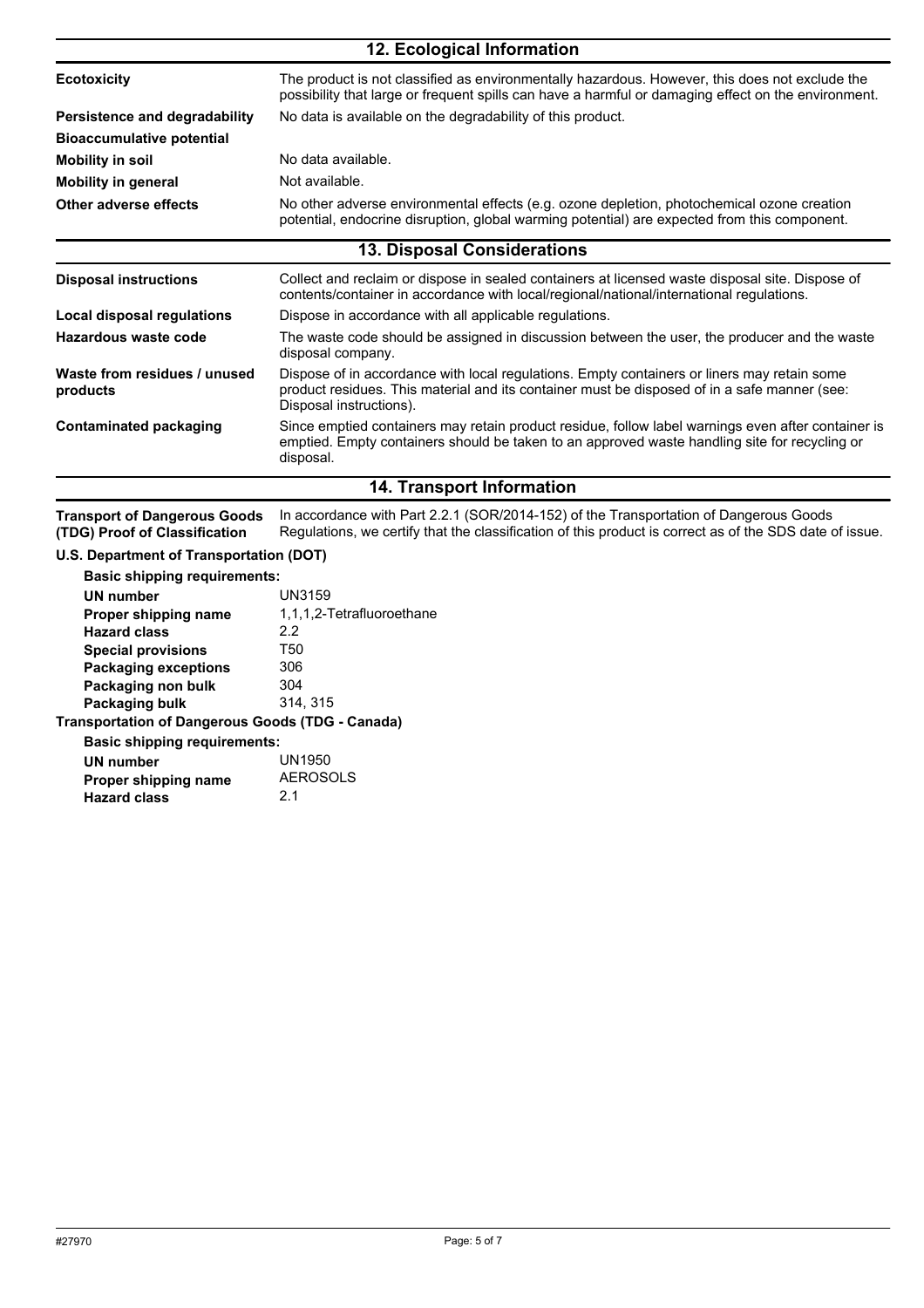| 12. Ecological Information               |                                                                                                                                                                                                                        |  |
|------------------------------------------|------------------------------------------------------------------------------------------------------------------------------------------------------------------------------------------------------------------------|--|
| <b>Ecotoxicity</b>                       | The product is not classified as environmentally hazardous. However, this does not exclude the<br>possibility that large or frequent spills can have a harmful or damaging effect on the environment.                  |  |
| Persistence and degradability            | No data is available on the degradability of this product.                                                                                                                                                             |  |
| <b>Bioaccumulative potential</b>         |                                                                                                                                                                                                                        |  |
| <b>Mobility in soil</b>                  | No data available.                                                                                                                                                                                                     |  |
| <b>Mobility in general</b>               | Not available.                                                                                                                                                                                                         |  |
| Other adverse effects                    | No other adverse environmental effects (e.g. ozone depletion, photochemical ozone creation<br>potential, endocrine disruption, global warming potential) are expected from this component.                             |  |
|                                          | <b>13. Disposal Considerations</b>                                                                                                                                                                                     |  |
| <b>Disposal instructions</b>             | Collect and reclaim or dispose in sealed containers at licensed waste disposal site. Dispose of<br>contents/container in accordance with local/regional/national/international regulations.                            |  |
| Local disposal regulations               | Dispose in accordance with all applicable regulations.                                                                                                                                                                 |  |
| Hazardous waste code                     | The waste code should be assigned in discussion between the user, the producer and the waste<br>disposal company.                                                                                                      |  |
| Waste from residues / unused<br>products | Dispose of in accordance with local regulations. Empty containers or liners may retain some<br>product residues. This material and its container must be disposed of in a safe manner (see:<br>Disposal instructions). |  |
| <b>Contaminated packaging</b>            | Since emptied containers may retain product residue, follow label warnings even after container is<br>emptied. Empty containers should be taken to an approved waste handling site for recycling or<br>disposal.       |  |
| 14. Transport Information                |                                                                                                                                                                                                                        |  |

In accordance with Part 2.2.1 (SOR/2014-152) of the Transportation of Dangerous Goods Regulations, we certify that the classification of this product is correct as of the SDS date of issue. **Transport of Dangerous Goods (TDG) Proof of Classification**

#### **U.S. Department of Transportation (DOT)**

|  | <b>Basic shipping requirements:</b> |  |
|--|-------------------------------------|--|
|  |                                     |  |

| UN number                                        | <b>UN3159</b>             |
|--------------------------------------------------|---------------------------|
| Proper shipping name                             | 1,1,1,2-Tetrafluoroethane |
| <b>Hazard class</b>                              | 2.2                       |
| <b>Special provisions</b>                        | T50                       |
| <b>Packaging exceptions</b>                      | 306                       |
| Packaging non bulk                               | 304                       |
| Packaging bulk                                   | 314, 315                  |
| Transportation of Dangerous Goods (TDG - Canada) |                           |
| <b>Basic shipping requirements:</b>              |                           |
| UN number                                        | UN1950                    |
| Proper shipping name                             | <b>AEROSOLS</b>           |
| <b>Hazard class</b>                              | 21                        |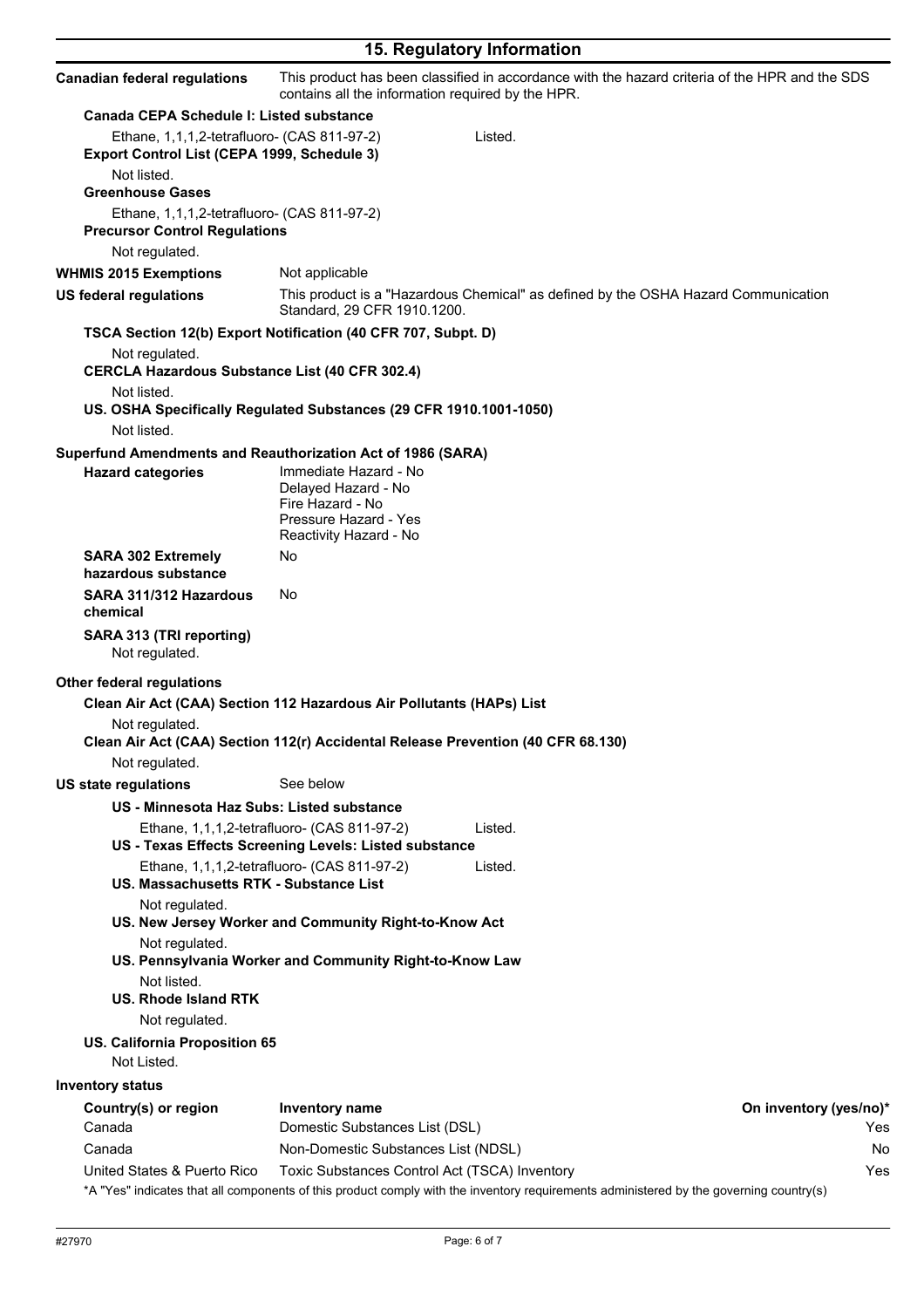|                                                                                                                               | 15. Regulatory Information                                                                                                                                                         |                                                                                                                                               |
|-------------------------------------------------------------------------------------------------------------------------------|------------------------------------------------------------------------------------------------------------------------------------------------------------------------------------|-----------------------------------------------------------------------------------------------------------------------------------------------|
| <b>Canadian federal regulations</b>                                                                                           | contains all the information required by the HPR.                                                                                                                                  | This product has been classified in accordance with the hazard criteria of the HPR and the SDS                                                |
| <b>Canada CEPA Schedule I: Listed substance</b>                                                                               |                                                                                                                                                                                    |                                                                                                                                               |
| Ethane, 1,1,1,2-tetrafluoro- (CAS 811-97-2)<br>Export Control List (CEPA 1999, Schedule 3)                                    | Listed.                                                                                                                                                                            |                                                                                                                                               |
| Not listed.<br><b>Greenhouse Gases</b><br>Ethane, 1,1,1,2-tetrafluoro- (CAS 811-97-2)<br><b>Precursor Control Regulations</b> |                                                                                                                                                                                    |                                                                                                                                               |
| Not regulated.                                                                                                                |                                                                                                                                                                                    |                                                                                                                                               |
| <b>WHMIS 2015 Exemptions</b>                                                                                                  | Not applicable                                                                                                                                                                     |                                                                                                                                               |
| <b>US federal regulations</b>                                                                                                 | Standard, 29 CFR 1910.1200.                                                                                                                                                        | This product is a "Hazardous Chemical" as defined by the OSHA Hazard Communication                                                            |
| Not regulated.<br><b>CERCLA Hazardous Substance List (40 CFR 302.4)</b>                                                       | TSCA Section 12(b) Export Notification (40 CFR 707, Subpt. D)                                                                                                                      |                                                                                                                                               |
| Not listed.<br>Not listed.                                                                                                    | US. OSHA Specifically Regulated Substances (29 CFR 1910.1001-1050)                                                                                                                 |                                                                                                                                               |
| <b>Hazard categories</b>                                                                                                      | Superfund Amendments and Reauthorization Act of 1986 (SARA)<br>Immediate Hazard - No<br>Delayed Hazard - No<br>Fire Hazard - No<br>Pressure Hazard - Yes<br>Reactivity Hazard - No |                                                                                                                                               |
| <b>SARA 302 Extremely</b><br>hazardous substance                                                                              | No                                                                                                                                                                                 |                                                                                                                                               |
| SARA 311/312 Hazardous<br>chemical                                                                                            | No.                                                                                                                                                                                |                                                                                                                                               |
| SARA 313 (TRI reporting)<br>Not regulated.                                                                                    |                                                                                                                                                                                    |                                                                                                                                               |
| <b>Other federal regulations</b>                                                                                              |                                                                                                                                                                                    |                                                                                                                                               |
| Not regulated.                                                                                                                | Clean Air Act (CAA) Section 112 Hazardous Air Pollutants (HAPs) List<br>Clean Air Act (CAA) Section 112(r) Accidental Release Prevention (40 CFR 68.130)                           |                                                                                                                                               |
| Not regulated.                                                                                                                |                                                                                                                                                                                    |                                                                                                                                               |
| <b>US state regulations</b>                                                                                                   | See below                                                                                                                                                                          |                                                                                                                                               |
| US - Minnesota Haz Subs: Listed substance                                                                                     |                                                                                                                                                                                    |                                                                                                                                               |
|                                                                                                                               | Ethane, 1,1,1,2-tetrafluoro- (CAS 811-97-2)<br>Listed.<br>US - Texas Effects Screening Levels: Listed substance                                                                    |                                                                                                                                               |
| US. Massachusetts RTK - Substance List                                                                                        | Ethane, 1,1,1,2-tetrafluoro- (CAS 811-97-2)<br>Listed.                                                                                                                             |                                                                                                                                               |
| Not regulated.<br>Not regulated.<br>Not listed.<br>US. Rhode Island RTK<br>Not regulated.                                     | US. New Jersey Worker and Community Right-to-Know Act<br>US. Pennsylvania Worker and Community Right-to-Know Law                                                                   |                                                                                                                                               |
| US. California Proposition 65<br>Not Listed.                                                                                  |                                                                                                                                                                                    |                                                                                                                                               |
| <b>Inventory status</b>                                                                                                       |                                                                                                                                                                                    |                                                                                                                                               |
| Country(s) or region                                                                                                          | Inventory name                                                                                                                                                                     | On inventory (yes/no)*                                                                                                                        |
| Canada                                                                                                                        | Domestic Substances List (DSL)                                                                                                                                                     | Yes                                                                                                                                           |
| Canada                                                                                                                        | Non-Domestic Substances List (NDSL)                                                                                                                                                | No                                                                                                                                            |
| United States & Puerto Rico                                                                                                   | Toxic Substances Control Act (TSCA) Inventory                                                                                                                                      | Yes<br>*A "Yes" indicates that all components of this product comply with the inventory requirements administered by the governing country(s) |